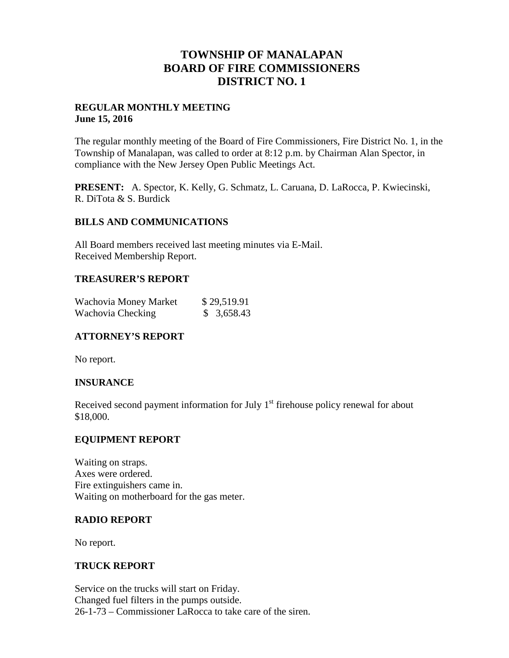## **TOWNSHIP OF MANALAPAN BOARD OF FIRE COMMISSIONERS DISTRICT NO. 1**

#### **REGULAR MONTHLY MEETING June 15, 2016**

The regular monthly meeting of the Board of Fire Commissioners, Fire District No. 1, in the Township of Manalapan, was called to order at 8:12 p.m. by Chairman Alan Spector, in compliance with the New Jersey Open Public Meetings Act.

**PRESENT:** A. Spector, K. Kelly, G. Schmatz, L. Caruana, D. LaRocca, P. Kwiecinski, R. DiTota & S. Burdick

## **BILLS AND COMMUNICATIONS**

All Board members received last meeting minutes via E-Mail. Received Membership Report.

## **TREASURER'S REPORT**

| Wachovia Money Market | \$29,519.91 |
|-----------------------|-------------|
| Wachovia Checking     | \$3,658.43  |

## **ATTORNEY'S REPORT**

No report.

## **INSURANCE**

Received second payment information for July 1<sup>st</sup> firehouse policy renewal for about \$18,000.

#### **EQUIPMENT REPORT**

Waiting on straps. Axes were ordered. Fire extinguishers came in. Waiting on motherboard for the gas meter.

## **RADIO REPORT**

No report.

#### **TRUCK REPORT**

Service on the trucks will start on Friday. Changed fuel filters in the pumps outside. 26-1-73 – Commissioner LaRocca to take care of the siren.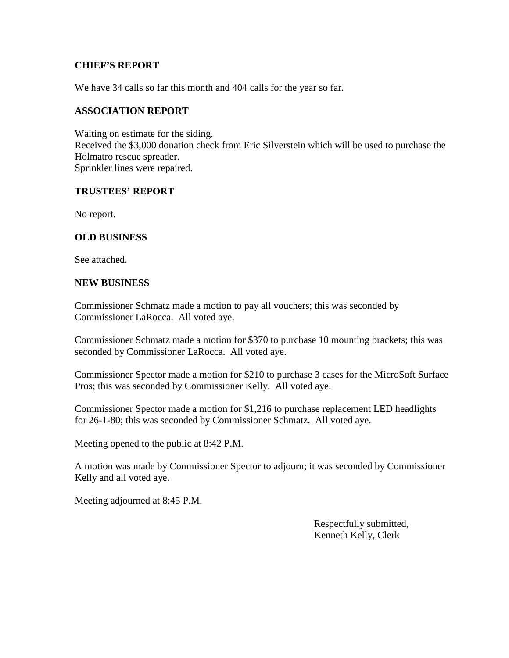#### **CHIEF'S REPORT**

We have 34 calls so far this month and 404 calls for the year so far.

#### **ASSOCIATION REPORT**

Waiting on estimate for the siding. Received the \$3,000 donation check from Eric Silverstein which will be used to purchase the Holmatro rescue spreader. Sprinkler lines were repaired.

#### **TRUSTEES' REPORT**

No report.

#### **OLD BUSINESS**

See attached.

#### **NEW BUSINESS**

Commissioner Schmatz made a motion to pay all vouchers; this was seconded by Commissioner LaRocca. All voted aye.

Commissioner Schmatz made a motion for \$370 to purchase 10 mounting brackets; this was seconded by Commissioner LaRocca. All voted aye.

Commissioner Spector made a motion for \$210 to purchase 3 cases for the MicroSoft Surface Pros; this was seconded by Commissioner Kelly. All voted aye.

Commissioner Spector made a motion for \$1,216 to purchase replacement LED headlights for 26-1-80; this was seconded by Commissioner Schmatz. All voted aye.

Meeting opened to the public at 8:42 P.M.

A motion was made by Commissioner Spector to adjourn; it was seconded by Commissioner Kelly and all voted aye.

Meeting adjourned at 8:45 P.M.

Respectfully submitted, Kenneth Kelly, Clerk